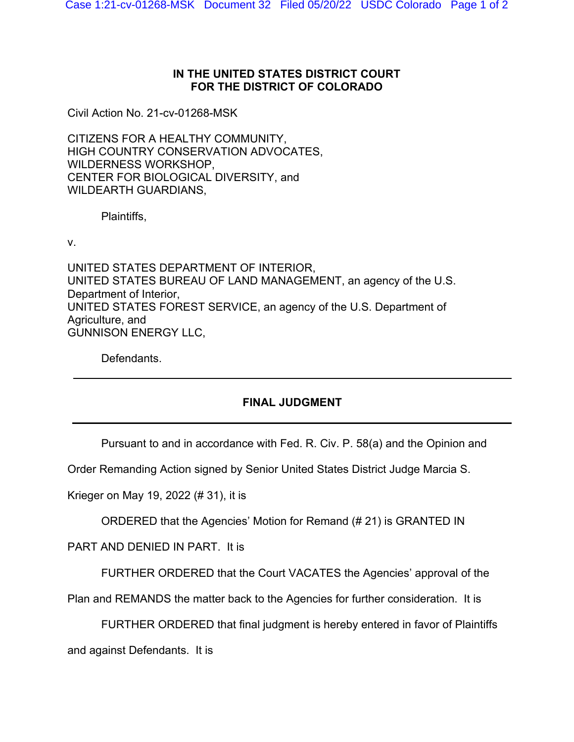## **IN THE UNITED STATES DISTRICT COURT FOR THE DISTRICT OF COLORADO**

Civil Action No. 21-cv-01268-MSK

CITIZENS FOR A HEALTHY COMMUNITY, HIGH COUNTRY CONSERVATION ADVOCATES, WILDERNESS WORKSHOP, CENTER FOR BIOLOGICAL DIVERSITY, and WILDEARTH GUARDIANS,

Plaintiffs,

v.

UNITED STATES DEPARTMENT OF INTERIOR, UNITED STATES BUREAU OF LAND MANAGEMENT, an agency of the U.S. Department of Interior, UNITED STATES FOREST SERVICE, an agency of the U.S. Department of Agriculture, and GUNNISON ENERGY LLC,

Defendants.

## **FINAL JUDGMENT**

Pursuant to and in accordance with Fed. R. Civ. P. 58(a) and the Opinion and

Order Remanding Action signed by Senior United States District Judge Marcia S.

Krieger on May 19, 2022 (# 31), it is

ORDERED that the Agencies' Motion for Remand (# 21) is GRANTED IN

PART AND DENIED IN PART. It is

FURTHER ORDERED that the Court VACATES the Agencies' approval of the

Plan and REMANDS the matter back to the Agencies for further consideration. It is

FURTHER ORDERED that final judgment is hereby entered in favor of Plaintiffs

and against Defendants. It is